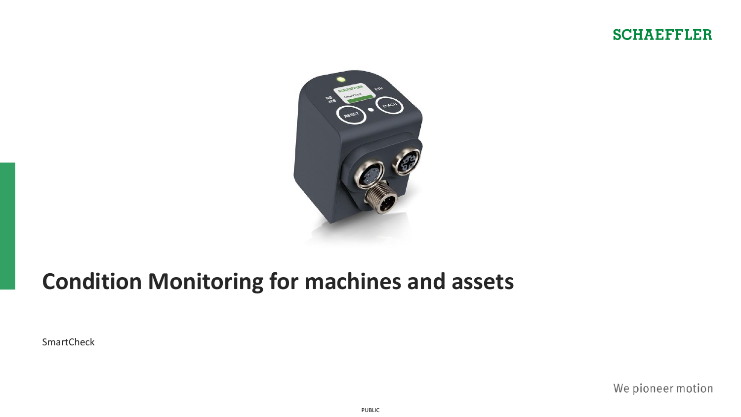



# **Condition Monitoring for machines and assets**

**SmartCheck** 

We pioneer motion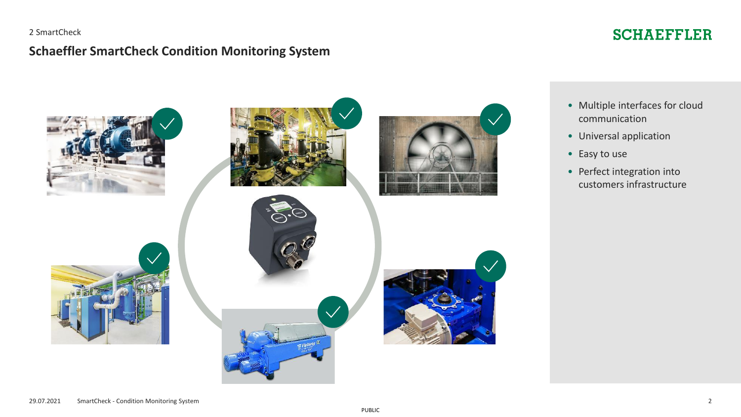#### 2 SmartCheck

## **Schaeffler SmartCheck Condition Monitoring System**

# **SCHAEFFLER**

communication

customers infrastructure

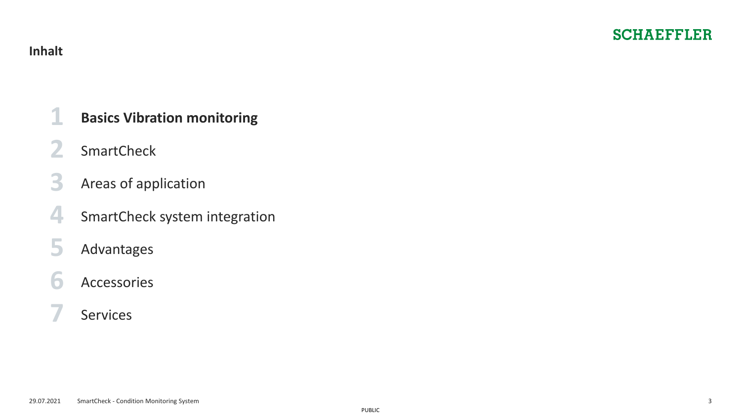## <span id="page-2-0"></span>**Inhalt**

- **[2](#page-6-0)** [SmartCheck](#page-6-0)
- **[3](#page-9-0)** Areas of [application](#page-9-0)
- **[4](#page-11-0)** [SmartCheck system](#page-11-0) integration **[7](#page-20-0)** SmartCheck<br> **3** Areas of application<br> **4** SmartCheck system integration<br> **5** Advantages<br> **6** Accessories<br> [Services](#page-20-0)
- **[5](#page-14-0)** [Advantages](#page-14-0)

# **[6](#page-16-0)** [Accessories](#page-16-0)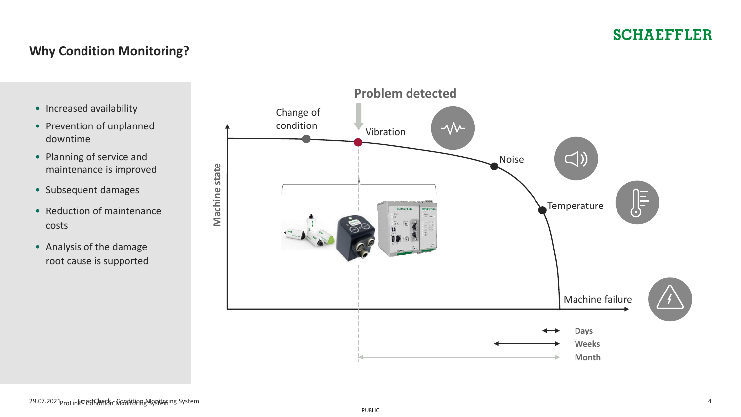## **Why Condition Monitoring?**

- Increased availability
- Prevention of unplanned downtime
- Planning of service and maintenance is improved
- Subsequent damages
- Reduction of maintenance costs
- Analysis of the damage root cause is supported

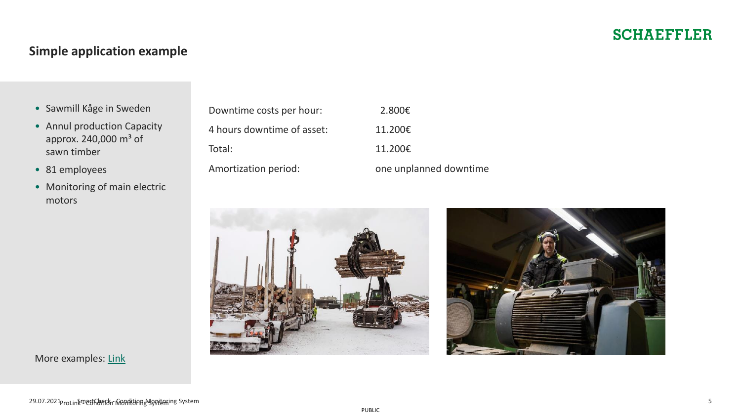# **Simple application example**

- Sawmill Kåge in Sweden
- Annul production Capacity approx.  $240,000$  m<sup>3</sup> of sawn timber
- 81 employees
- Monitoring of main electric motors

| Downtime costs per hour:   | 2.800€                 |
|----------------------------|------------------------|
| 4 hours downtime of asset: | 11.200€                |
| Total:                     | 11.200€                |
| Amortization period:       | one unplanned downtime |

| 2.800€                |
|-----------------------|
| 1.200€                |
| 1.200€                |
| ne unplanned downtime |



More examples: [Link](https://www.schaeffler.de/content.schaeffler.de/de/news_medien/mediathek/index.jsp?tab=mediathek-pub&subfilter=app:dc;language-vid:165;language-pub:167;mediatyp-pub:3531264;referencetyp-pub:0)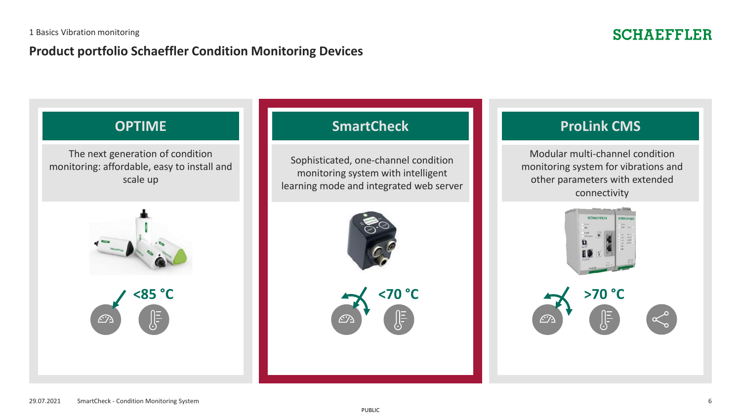## **Product portfolio Schaeffler Condition Monitoring Devices**

# **SCHAEFFLER**

The next generation of condition monitoring: affordable, easy to install and scale up



# **OPTIME SmartCheck ProLink CMS**

Sophisticated, one-channel condition monitoring system with intelligent learning mode and integrated web server



Modular multi-channel condition monitoring system for vibrations and other parameters with extended connectivity

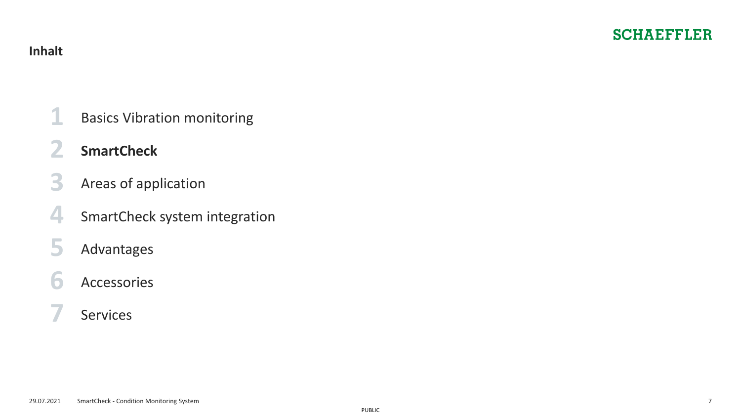- <span id="page-6-0"></span>**[1](#page-2-0)** [Basics Vibration monitoring](#page-2-0)
- 
- **[3](#page-9-0)** Areas of [application](#page-9-0) **2** SmartCheck<br>
3 Areas of app<br>
4 SmartCheck<br>
5 Advantages<br>
6 Accessories<br> [7](#page-20-0) [Services](#page-20-0)
- [4](#page-11-0) [SmartCheck system](#page-11-0) integration
- **[5](#page-14-0)** [Advantages](#page-14-0)
- **[6](#page-16-0)** [Accessories](#page-16-0)
-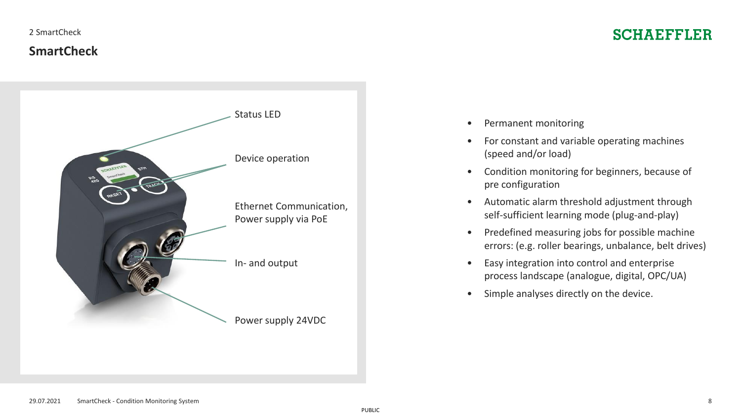#### 2 SmartCheck

## **SmartCheck**

# **SCHAEFFLER**



- Permanent monitoring
- For constant and variable operating machines (speed and/or load)
- Condition monitoring for beginners, because of pre configuration
- Automatic alarm threshold adjustment through self-sufficient learning mode (plug-and-play)
- Predefined measuring jobs for possible machine errors: (e.g. roller bearings, unbalance, belt drives)
- Easy integration into control and enterprise process landscape (analogue, digital, OPC/UA)
- Simple analyses directly on the device.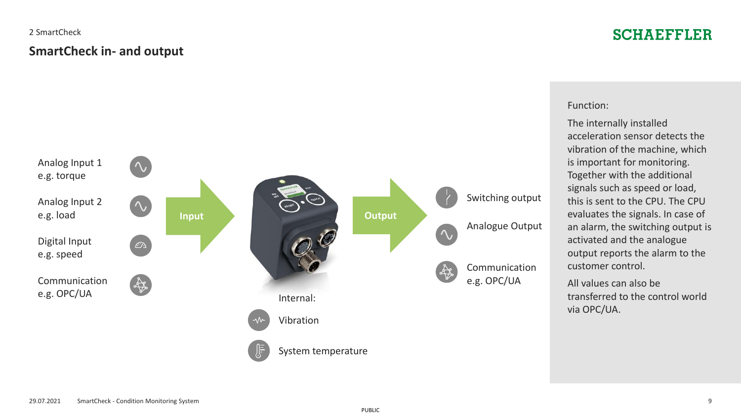# **SmartCheck in- and output** 2 SmartCheck

# **SCHAEFFLER**



#### Function:

The internally installed acceleration sensor detects the vibration of the machine, which is important for monitoring. Together with the additional signals such as speed or load, this is sent to the CPU. The CPU evaluates the signals. In case of an alarm, the switching output is activated and the analogue output reports the alarm to the customer control.

All values can also be transferred to the control world via OPC/UA.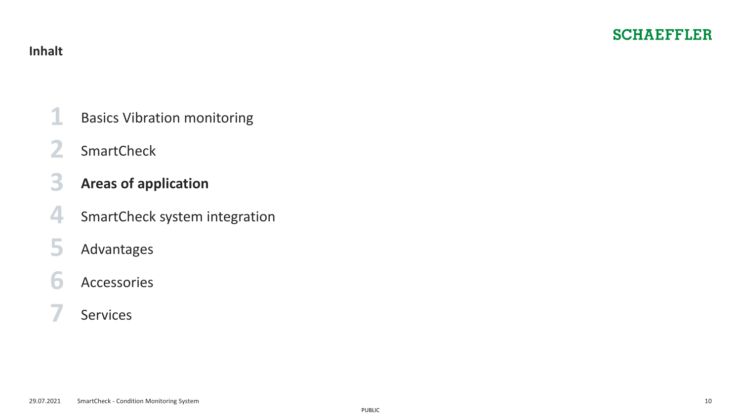- <span id="page-9-0"></span>**[1](#page-2-0)** [Basics Vibration monitoring](#page-2-0)
- **[2](#page-6-0)** [SmartCheck](#page-6-0)
- **[7](#page-20-0)** SmartCheck system is<br> **5** Advantages<br> **6** Accessories<br> **7** [Services](#page-20-0)
- **[4](#page-11-0)** [SmartCheck system](#page-11-0) integration
- **[5](#page-14-0)** [Advantages](#page-14-0)
- **[6](#page-16-0)** [Accessories](#page-16-0)
-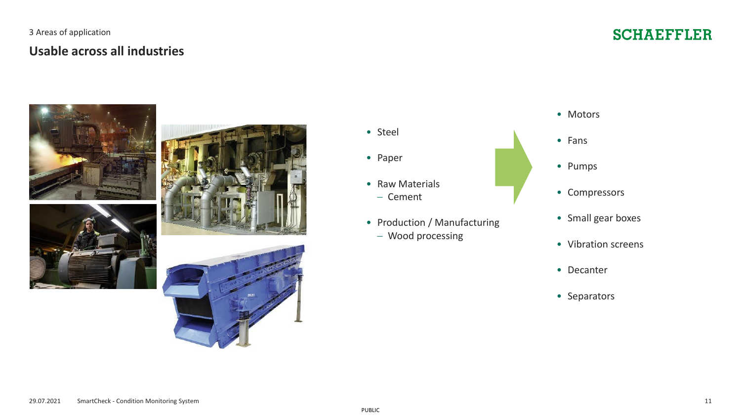## **Usable across all industries** 3 Areas of application

# **SCHAEFFLER**









• Paper

- Raw Materials
	- − Cement
- Production / Manufacturing
	- − Wood processing
- Motors
- Fans
- Pumps
- Compressors
- Small gear boxes
- Vibration screens
- Decanter
- Separators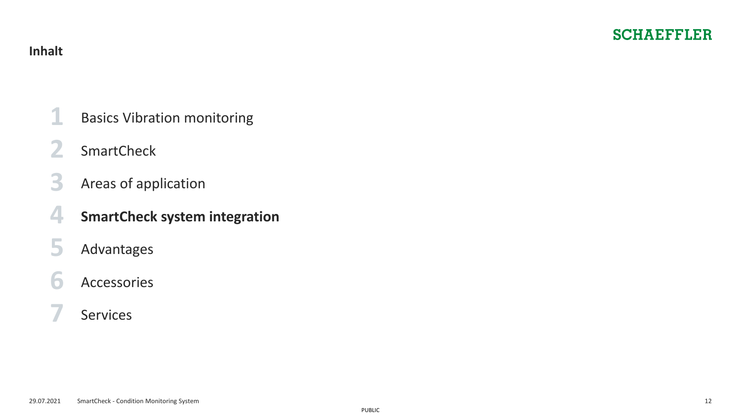- <span id="page-11-0"></span>**[1](#page-2-0)** [Basics Vibration monitoring](#page-2-0)
- **[2](#page-6-0)** [SmartCheck](#page-6-0)
- **[3](#page-9-0)** Areas of [application](#page-9-0)
- **4** SmartCheck system integration<br>
5 Advantages<br>
6 Accessories<br> [7](#page-20-0) [Services](#page-20-0)
- **[5](#page-14-0)** [Advantages](#page-14-0)
- **[6](#page-16-0)** [Accessories](#page-16-0)
-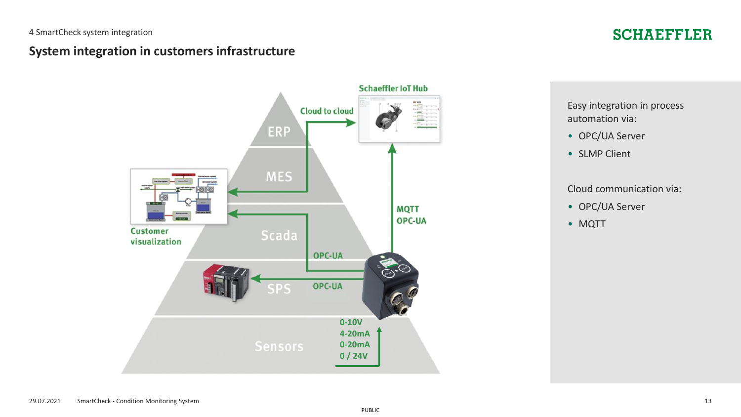# **System integration in customers infrastructure**

# **Schaeffler IoT Hub Cloud to cloud** ERP **MES MQTT** OPC-UA **Customer** Scada visualization OPC-UA OPC-UA SPS **0-10V 4-20mA 0-20mA 0 / 24V**

# **SCHAEFFLER**

Easy integration in process automation via:

- OPC/UA Server
- SLMP Client

#### Cloud communication via:

- OPC/UA Server
- MQTT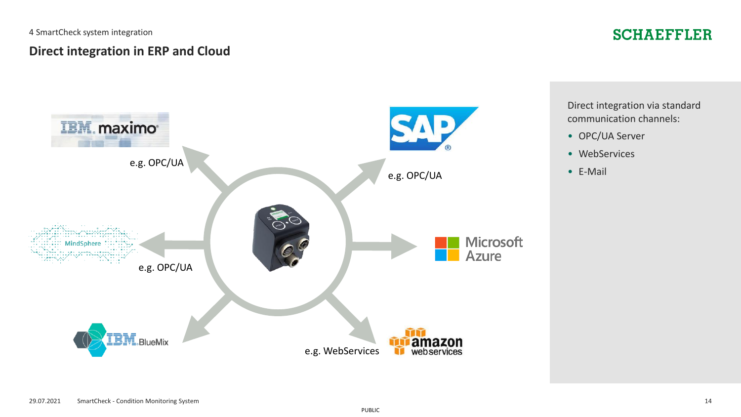4 SmartCheck system integration

# **SCHAEFFLER**

## **Direct integration in ERP and Cloud**



Direct integration via standard communication channels:

- OPC/UA Server
- WebServices
- E-Mail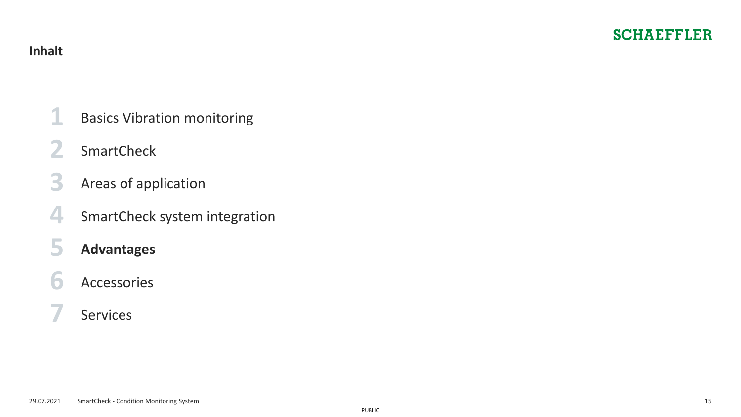- <span id="page-14-0"></span>**[1](#page-2-0)** [Basics Vibration monitoring](#page-2-0)
- **[2](#page-6-0)** [SmartCheck](#page-6-0)
- **[3](#page-9-0)** Areas of [application](#page-9-0)
- **[4](#page-11-0)** [SmartCheck system](#page-11-0) integration
- **[7](#page-20-0)** [Services](#page-20-0) **<sup>5</sup> Advantages**
- **[6](#page-16-0)** [Accessories](#page-16-0)
-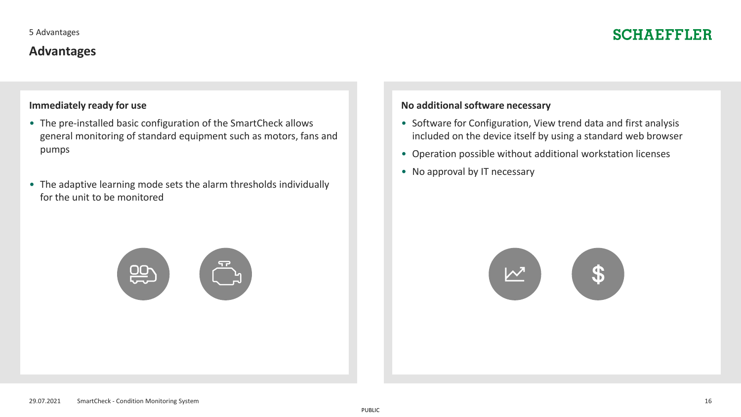# **Advantages**

### **Immediately ready for use**

- The pre-installed basic configuration of the SmartCheck allows general monitoring of standard equipment such as motors, fans and pumps
- The adaptive learning mode sets the alarm thresholds individually for the unit to be monitored

#### **No additional software necessary**

- Software for Configuration, View trend data and first analysis included on the device itself by using a standard web browser
- Operation possible without additional workstation licenses
- No approval by IT necessary



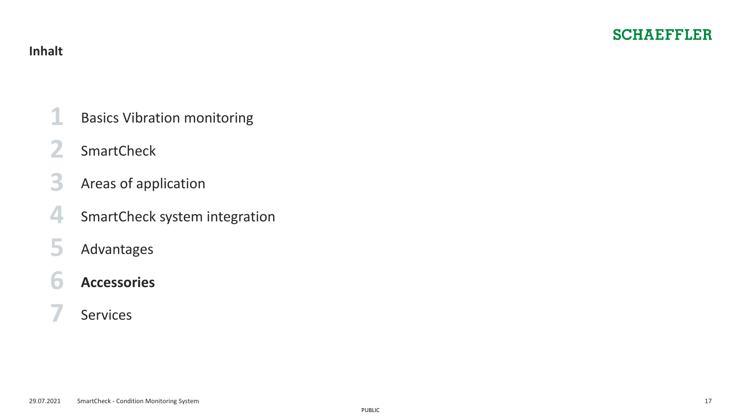- <span id="page-16-0"></span>**[1](#page-2-0)** [Basics Vibration monitoring](#page-2-0)
- **[2](#page-6-0)** [SmartCheck](#page-6-0)
- **[3](#page-9-0)** Areas of [application](#page-9-0)
- **[4](#page-11-0)** [SmartCheck system](#page-11-0) integration
- **[5](#page-14-0)** [Advantages](#page-14-0)
- **[7](#page-20-0)** [Services](#page-20-0) **<sup>6</sup> Accessories**
-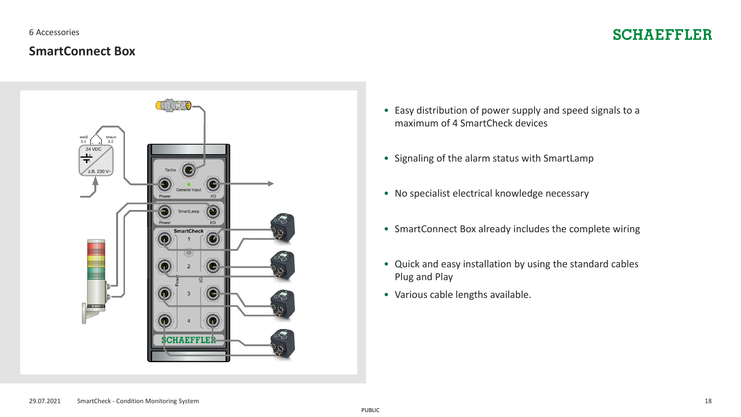6 Accessories

## **SmartConnect Box**

# **SCHAEFFLER**



- Easy distribution of power supply and speed signals to a maximum of 4 SmartCheck devices
- Signaling of the alarm status with SmartLamp
- No specialist electrical knowledge necessary
- SmartConnect Box already includes the complete wiring
- Quick and easy installation by using the standard cables Plug and Play
- Various cable lengths available.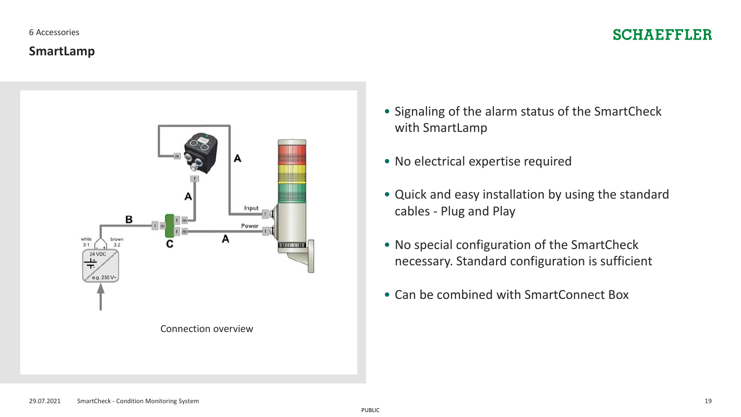#### 6 Accessories

# **SCHAEFFLER**

## **SmartLamp**



- Signaling of the alarm status of the SmartCheck with SmartLamp
- No electrical expertise required
- Quick and easy installation by using the standard cables - Plug and Play
- No special configuration of the SmartCheck necessary. Standard configuration is sufficient
- Can be combined with SmartConnect Box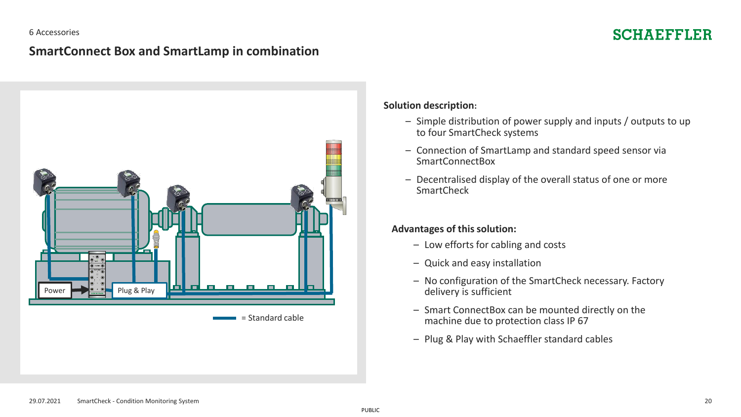#### 6 Accessories

# **SCHAEFFLER**

## **SmartConnect Box and SmartLamp in combination**



#### **Solution description:**

- Simple distribution of power supply and inputs / outputs to up to four SmartCheck systems
- Connection of SmartLamp and standard speed sensor via SmartConnectBox
- Decentralised display of the overall status of one or more **SmartCheck**

#### **Advantages of this solution:**

- Low efforts for cabling and costs
- Quick and easy installation
- No configuration of the SmartCheck necessary. Factory delivery is sufficient
- Smart ConnectBox can be mounted directly on the machine due to protection class IP 67
- Plug & Play with Schaeffler standard cables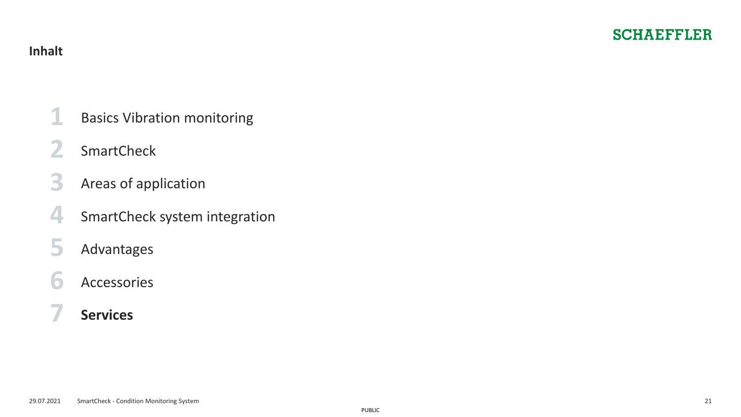- <span id="page-20-0"></span>[Basics Vibration monitoring](#page-2-0)
- [SmartCheck](#page-6-0)
- Areas of [application](#page-9-0)
- [SmartCheck system](#page-11-0) integration
- [Advantages](#page-14-0)
- [Accessories](#page-16-0)
- **Services**